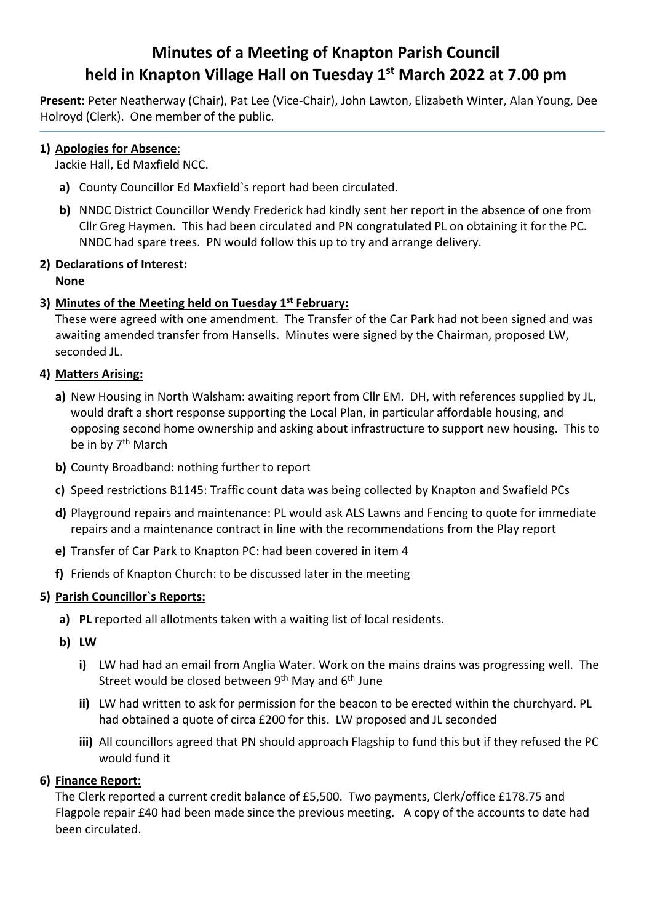# **Minutes of a Meeting of Knapton Parish Council held in Knapton Village Hall on Tuesday 1st March 2022 at 7.00 pm**

**Present:** Peter Neatherway (Chair), Pat Lee (Vice-Chair), John Lawton, Elizabeth Winter, Alan Young, Dee Holroyd (Clerk). One member of the public.

#### **1) Apologies for Absence**:

Jackie Hall, Ed Maxfield NCC.

- **a)** County Councillor Ed Maxfield`s report had been circulated.
- **b)** NNDC District Councillor Wendy Frederick had kindly sent her report in the absence of one from Cllr Greg Haymen. This had been circulated and PN congratulated PL on obtaining it for the PC. NNDC had spare trees. PN would follow this up to try and arrange delivery.

# **2) Declarations of Interest:**

**None**

# **3) Minutes of the Meeting held on Tuesday 1st February:**

These were agreed with one amendment. The Transfer of the Car Park had not been signed and was awaiting amended transfer from Hansells. Minutes were signed by the Chairman, proposed LW, seconded JL.

# **4) Matters Arising:**

- **a)** New Housing in North Walsham: awaiting report from Cllr EM. DH, with references supplied by JL, would draft a short response supporting the Local Plan, in particular affordable housing, and opposing second home ownership and asking about infrastructure to support new housing. This to be in by 7<sup>th</sup> March
- **b)** County Broadband: nothing further to report
- **c)** Speed restrictions B1145: Traffic count data was being collected by Knapton and Swafield PCs
- **d)** Playground repairs and maintenance: PL would ask ALS Lawns and Fencing to quote for immediate repairs and a maintenance contract in line with the recommendations from the Play report
- **e)** Transfer of Car Park to Knapton PC: had been covered in item 4
- **f)** Friends of Knapton Church: to be discussed later in the meeting

# **5) Parish Councillor`s Reports:**

- **a) PL** reported all allotments taken with a waiting list of local residents.
- **b) LW**
	- **i)** LW had had an email from Anglia Water. Work on the mains drains was progressing well. The Street would be closed between 9<sup>th</sup> May and 6<sup>th</sup> June
	- **ii)** LW had written to ask for permission for the beacon to be erected within the churchyard. PL had obtained a quote of circa £200 for this. LW proposed and JL seconded
	- **iii)** All councillors agreed that PN should approach Flagship to fund this but if they refused the PC would fund it

# **6) Finance Report:**

The Clerk reported a current credit balance of £5,500. Two payments, Clerk/office £178.75 and Flagpole repair £40 had been made since the previous meeting. A copy of the accounts to date had been circulated.